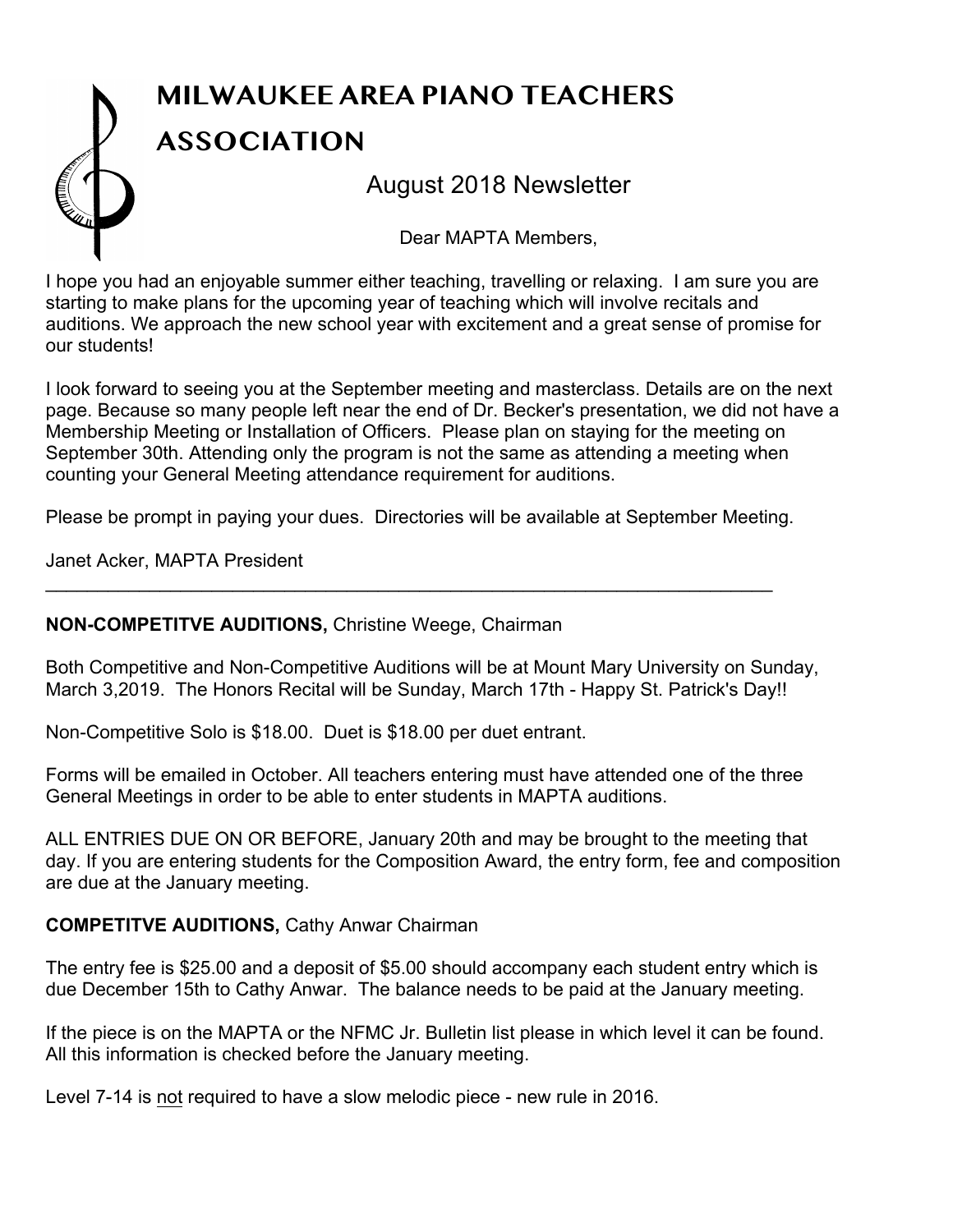# **MILWAUKEE AREA PIANO TEACHERS ASSOCIATION** August 2018 Newsletter

Dear MAPTA Members,

I hope you had an enjoyable summer either teaching, travelling or relaxing. I am sure you are starting to make plans for the upcoming year of teaching which will involve recitals and auditions. We approach the new school year with excitement and a great sense of promise for our students!

I look forward to seeing you at the September meeting and masterclass. Details are on the next page. Because so many people left near the end of Dr. Becker's presentation, we did not have a Membership Meeting or Installation of Officers. Please plan on staying for the meeting on September 30th. Attending only the program is not the same as attending a meeting when counting your General Meeting attendance requirement for auditions.

Please be prompt in paying your dues. Directories will be available at September Meeting.

\_\_\_\_\_\_\_\_\_\_\_\_\_\_\_\_\_\_\_\_\_\_\_\_\_\_\_\_\_\_\_\_\_\_\_\_\_\_\_\_\_\_\_\_\_\_\_\_\_\_\_\_\_\_\_\_\_\_\_\_\_\_\_\_\_\_\_\_\_\_

Janet Acker, MAPTA President

### **NON-COMPETITVE AUDITIONS,** Christine Weege, Chairman

Both Competitive and Non-Competitive Auditions will be at Mount Mary University on Sunday, March 3,2019. The Honors Recital will be Sunday, March 17th - Happy St. Patrick's Day!!

Non-Competitive Solo is \$18.00. Duet is \$18.00 per duet entrant.

Forms will be emailed in October. All teachers entering must have attended one of the three General Meetings in order to be able to enter students in MAPTA auditions.

ALL ENTRIES DUE ON OR BEFORE, January 20th and may be brought to the meeting that day. If you are entering students for the Composition Award, the entry form, fee and composition are due at the January meeting.

### **COMPETITVE AUDITIONS,** Cathy Anwar Chairman

The entry fee is \$25.00 and a deposit of \$5.00 should accompany each student entry which is due December 15th to Cathy Anwar. The balance needs to be paid at the January meeting.

If the piece is on the MAPTA or the NFMC Jr. Bulletin list please in which level it can be found. All this information is checked before the January meeting.

Level 7-14 is not required to have a slow melodic piece - new rule in 2016.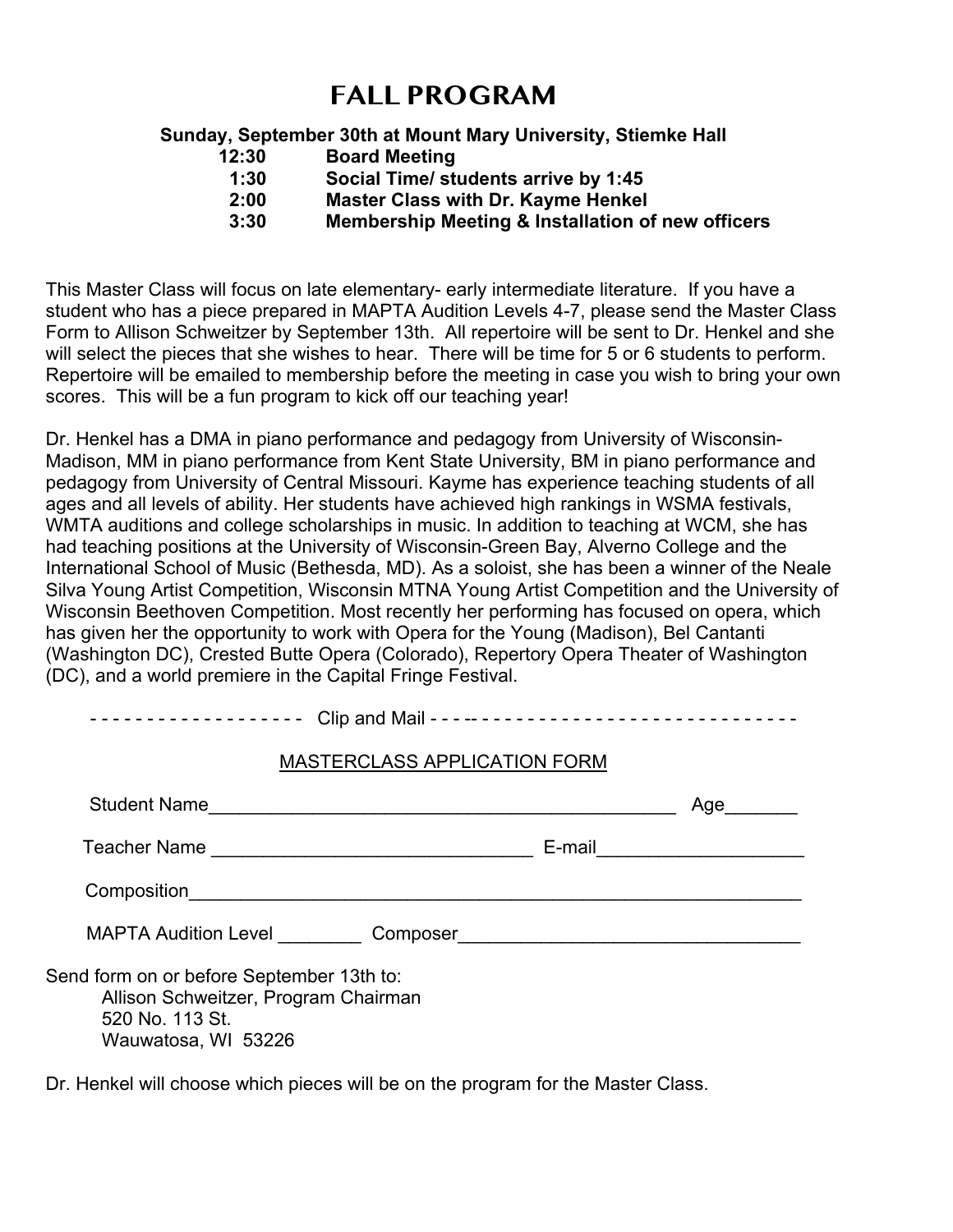### **FALL PROGRAM**

### **Sunday, September 30th at Mount Mary University, Stiemke Hall**

- **12:30 Board Meeting**
- **1:30 Social Time/ students arrive by 1:45**
- **2:00 Master Class with Dr. Kayme Henkel**
- **3:30 Membership Meeting & Installation of new officers**

This Master Class will focus on late elementary- early intermediate literature. If you have a student who has a piece prepared in MAPTA Audition Levels 4-7, please send the Master Class Form to Allison Schweitzer by September 13th. All repertoire will be sent to Dr. Henkel and she will select the pieces that she wishes to hear. There will be time for 5 or 6 students to perform. Repertoire will be emailed to membership before the meeting in case you wish to bring your own scores. This will be a fun program to kick off our teaching year!

Dr. Henkel has a DMA in piano performance and pedagogy from University of Wisconsin-Madison, MM in piano performance from Kent State University, BM in piano performance and pedagogy from University of Central Missouri. Kayme has experience teaching students of all ages and all levels of ability. Her students have achieved high rankings in WSMA festivals, WMTA auditions and college scholarships in music. In addition to teaching at WCM, she has had teaching positions at the University of Wisconsin-Green Bay, Alverno College and the International School of Music (Bethesda, MD). As a soloist, she has been a winner of the Neale Silva Young Artist Competition, Wisconsin MTNA Young Artist Competition and the University of Wisconsin Beethoven Competition. Most recently her performing has focused on opera, which has given her the opportunity to work with Opera for the Young (Madison), Bel Cantanti (Washington DC), Crested Butte Opera (Colorado), Repertory Opera Theater of Washington (DC), and a world premiere in the Capital Fringe Festival.

| -----------------        Clip and Mail ----------------------------------                                                   |                                     |                            |
|-----------------------------------------------------------------------------------------------------------------------------|-------------------------------------|----------------------------|
|                                                                                                                             | <b>MASTERCLASS APPLICATION FORM</b> |                            |
| Student Name                                                                                                                |                                     | Age                        |
|                                                                                                                             |                                     | E-mail ___________________ |
|                                                                                                                             |                                     |                            |
| MAPTA Audition Level Composer Composition Common Common Common Common Common Common Common Common Common Common             |                                     |                            |
| Send form on or before September 13th to:<br>Allison Schweitzer, Program Chairman<br>520 No. 113 St.<br>Wauwatosa, WI 53226 |                                     |                            |

Dr. Henkel will choose which pieces will be on the program for the Master Class.